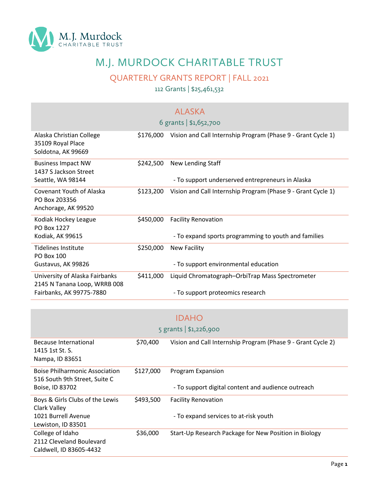

## M.J. MURDOCK CHARITABLE TRUST

QUARTERLY GRANTS REPORT | FALL 2021

112 Grants | \$25,461,532

|                                                                         |           | <b>ALASKA</b><br>6 grants   \$1,652,700                                     |
|-------------------------------------------------------------------------|-----------|-----------------------------------------------------------------------------|
| Alaska Christian College<br>35109 Royal Place<br>Soldotna, AK 99669     | \$176,000 | Vision and Call Internship Program (Phase 9 - Grant Cycle 1)                |
| <b>Business Impact NW</b><br>1437 S Jackson Street<br>Seattle, WA 98144 | \$242,500 | New Lending Staff<br>- To support underserved entrepreneurs in Alaska       |
| Covenant Youth of Alaska<br>PO Box 203356<br>Anchorage, AK 99520        | \$123,200 | Vision and Call Internship Program (Phase 9 - Grant Cycle 1)                |
| Kodiak Hockey League<br>PO Box 1227                                     | \$450,000 | <b>Facility Renovation</b>                                                  |
| Kodiak, AK 99615<br><b>Tidelines Institute</b><br>PO Box 100            | \$250,000 | - To expand sports programming to youth and families<br><b>New Facility</b> |
| Gustavus, AK 99826                                                      |           | - To support environmental education                                        |
| University of Alaska Fairbanks<br>2145 N Tanana Loop, WRRB 008          | \$411,000 | Liquid Chromatograph-OrbiTrap Mass Spectrometer                             |
| Fairbanks, AK 99775-7880                                                |           | - To support proteomics research                                            |

|                                       |           | <b>IDAHO</b>                                                 |
|---------------------------------------|-----------|--------------------------------------------------------------|
|                                       |           | 5 grants $  $1,226,900$                                      |
|                                       |           |                                                              |
| Because International                 | \$70,400  | Vision and Call Internship Program (Phase 9 - Grant Cycle 2) |
| 1415 1st St. S.                       |           |                                                              |
| Nampa, ID 83651                       |           |                                                              |
|                                       |           |                                                              |
| <b>Boise Philharmonic Association</b> | \$127,000 | Program Expansion                                            |
| 516 South 9th Street, Suite C         |           |                                                              |
| Boise, ID 83702                       |           | - To support digital content and audience outreach           |
| Boys & Girls Clubs of the Lewis       | \$493,500 | <b>Facility Renovation</b>                                   |
| Clark Valley                          |           |                                                              |
| 1021 Burrell Avenue                   |           | - To expand services to at-risk youth                        |
| Lewiston, ID 83501                    |           |                                                              |
| College of Idaho                      | \$36,000  | Start-Up Research Package for New Position in Biology        |
| 2112 Cleveland Boulevard              |           |                                                              |
| Caldwell, ID 83605-4432               |           |                                                              |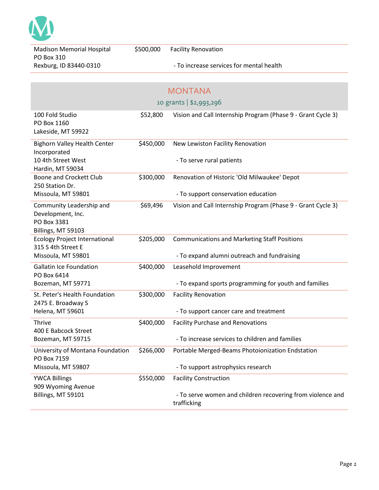

Madison Memorial Hospital PO Box 310 Rexburg, ID 83440-0310

## - To increase services for mental health

|                                                                                    |           | <b>MONTANA</b>                                                            |  |
|------------------------------------------------------------------------------------|-----------|---------------------------------------------------------------------------|--|
| 10 grants   \$2,993,296                                                            |           |                                                                           |  |
| 100 Fold Studio<br>PO Box 1160<br>Lakeside, MT 59922                               | \$52,800  | Vision and Call Internship Program (Phase 9 - Grant Cycle 3)              |  |
| <b>Bighorn Valley Health Center</b><br>Incorporated                                | \$450,000 | New Lewiston Facility Renovation                                          |  |
| 10 4th Street West<br>Hardin, MT 59034                                             |           | - To serve rural patients                                                 |  |
| Boone and Crockett Club<br>250 Station Dr.                                         | \$300,000 | Renovation of Historic 'Old Milwaukee' Depot                              |  |
| Missoula, MT 59801                                                                 |           | - To support conservation education                                       |  |
| Community Leadership and<br>Development, Inc.<br>PO Box 3381<br>Billings, MT 59103 | \$69,496  | Vision and Call Internship Program (Phase 9 - Grant Cycle 3)              |  |
| <b>Ecology Project International</b><br>315 S 4th Street E                         | \$205,000 | <b>Communications and Marketing Staff Positions</b>                       |  |
| Missoula, MT 59801                                                                 |           | - To expand alumni outreach and fundraising                               |  |
| <b>Gallatin Ice Foundation</b><br>PO Box 6414                                      | \$400,000 | Leasehold Improvement                                                     |  |
| Bozeman, MT 59771                                                                  |           | - To expand sports programming for youth and families                     |  |
| St. Peter's Health Foundation<br>2475 E. Broadway S                                | \$300,000 | <b>Facility Renovation</b>                                                |  |
| Helena, MT 59601                                                                   |           | - To support cancer care and treatment                                    |  |
| Thrive<br>400 E Babcock Street                                                     | \$400,000 | <b>Facility Purchase and Renovations</b>                                  |  |
| Bozeman, MT 59715                                                                  |           | - To increase services to children and families                           |  |
| University of Montana Foundation<br>PO Box 7159                                    | \$266,000 | Portable Merged-Beams Photoionization Endstation                          |  |
| Missoula, MT 59807                                                                 |           | - To support astrophysics research                                        |  |
| <b>YWCA Billings</b><br>909 Wyoming Avenue                                         | \$550,000 | <b>Facility Construction</b>                                              |  |
| Billings, MT 59101                                                                 |           | - To serve women and children recovering from violence and<br>trafficking |  |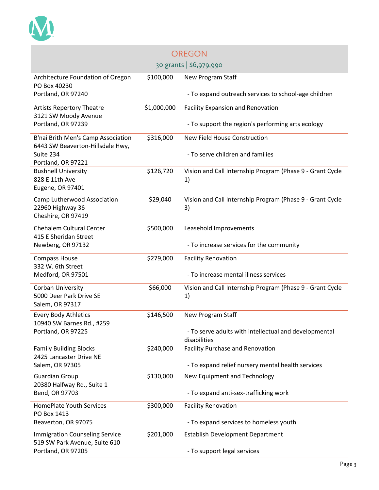

| <b>OREGON</b>                                                          |             |                                                                       |  |  |
|------------------------------------------------------------------------|-------------|-----------------------------------------------------------------------|--|--|
|                                                                        |             | 30 grants   \$6,979,990                                               |  |  |
| Architecture Foundation of Oregon<br>PO Box 40230                      | \$100,000   | New Program Staff                                                     |  |  |
| Portland, OR 97240                                                     |             | - To expand outreach services to school-age children                  |  |  |
| <b>Artists Repertory Theatre</b><br>3121 SW Moody Avenue               | \$1,000,000 | <b>Facility Expansion and Renovation</b>                              |  |  |
| Portland, OR 97239                                                     |             | - To support the region's performing arts ecology                     |  |  |
| B'nai Brith Men's Camp Association<br>6443 SW Beaverton-Hillsdale Hwy, | \$316,000   | New Field House Construction                                          |  |  |
| Suite 234<br>Portland, OR 97221                                        |             | - To serve children and families                                      |  |  |
| <b>Bushnell University</b><br>828 E 11th Ave<br>Eugene, OR 97401       | \$126,720   | Vision and Call Internship Program (Phase 9 - Grant Cycle<br>1)       |  |  |
| Camp Lutherwood Association<br>22960 Highway 36<br>Cheshire, OR 97419  | \$29,040    | Vision and Call Internship Program (Phase 9 - Grant Cycle<br>3)       |  |  |
| <b>Chehalem Cultural Center</b><br>415 E Sheridan Street               | \$500,000   | Leasehold Improvements                                                |  |  |
| Newberg, OR 97132                                                      |             | - To increase services for the community                              |  |  |
| <b>Compass House</b><br>332 W. 6th Street                              | \$279,000   | <b>Facility Renovation</b>                                            |  |  |
| Medford, OR 97501                                                      |             | - To increase mental illness services                                 |  |  |
| Corban University<br>5000 Deer Park Drive SE                           | \$66,000    | Vision and Call Internship Program (Phase 9 - Grant Cycle<br>1)       |  |  |
| Salem, OR 97317                                                        |             |                                                                       |  |  |
| <b>Every Body Athletics</b><br>10940 SW Barnes Rd., #259               | \$146,500   | New Program Staff                                                     |  |  |
| Portland, OR 97225                                                     |             | - To serve adults with intellectual and developmental<br>disabilities |  |  |
| <b>Family Building Blocks</b><br>2425 Lancaster Drive NE               | \$240,000   | <b>Facility Purchase and Renovation</b>                               |  |  |
| Salem, OR 97305                                                        |             | - To expand relief nursery mental health services                     |  |  |
| <b>Guardian Group</b><br>20380 Halfway Rd., Suite 1                    | \$130,000   | New Equipment and Technology                                          |  |  |
| Bend, OR 97703                                                         |             | - To expand anti-sex-trafficking work                                 |  |  |
| <b>HomePlate Youth Services</b><br>PO Box 1413                         | \$300,000   | <b>Facility Renovation</b>                                            |  |  |
| Beaverton, OR 97075                                                    |             | - To expand services to homeless youth                                |  |  |
| <b>Immigration Counseling Service</b><br>519 SW Park Avenue, Suite 610 | \$201,000   | <b>Establish Development Department</b>                               |  |  |
| Portland, OR 97205                                                     |             | - To support legal services                                           |  |  |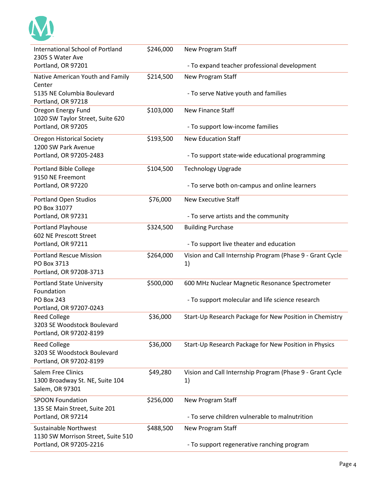

| International School of Portland<br>2305 S Water Ave                            | \$246,000 | New Program Staff                                               |
|---------------------------------------------------------------------------------|-----------|-----------------------------------------------------------------|
| Portland, OR 97201                                                              |           | - To expand teacher professional development                    |
| Native American Youth and Family                                                | \$214,500 | New Program Staff                                               |
| Center<br>5135 NE Columbia Boulevard<br>Portland, OR 97218                      |           | - To serve Native youth and families                            |
| Oregon Energy Fund                                                              | \$103,000 | <b>New Finance Staff</b>                                        |
| 1020 SW Taylor Street, Suite 620<br>Portland, OR 97205                          |           | - To support low-income families                                |
| <b>Oregon Historical Society</b>                                                | \$193,500 | <b>New Education Staff</b>                                      |
| 1200 SW Park Avenue<br>Portland, OR 97205-2483                                  |           | - To support state-wide educational programming                 |
| <b>Portland Bible College</b><br>9150 NE Freemont                               | \$104,500 | <b>Technology Upgrade</b>                                       |
| Portland, OR 97220                                                              |           | - To serve both on-campus and online learners                   |
| <b>Portland Open Studios</b><br>PO Box 31077                                    | \$76,000  | <b>New Executive Staff</b>                                      |
| Portland, OR 97231                                                              |           | - To serve artists and the community                            |
| Portland Playhouse<br>602 NE Prescott Street                                    | \$324,500 | <b>Building Purchase</b>                                        |
| Portland, OR 97211                                                              |           | - To support live theater and education                         |
| <b>Portland Rescue Mission</b><br>PO Box 3713<br>Portland, OR 97208-3713        | \$264,000 | Vision and Call Internship Program (Phase 9 - Grant Cycle<br>1) |
| <b>Portland State University</b><br>Foundation                                  | \$500,000 | 600 MHz Nuclear Magnetic Resonance Spectrometer                 |
| <b>PO Box 243</b><br>Portland, OR 97207-0243                                    |           | - To support molecular and life science research                |
| <b>Reed College</b><br>3203 SE Woodstock Boulevard<br>Portland, OR 97202-8199   | \$36,000  | Start-Up Research Package for New Position in Chemistry         |
| <b>Reed College</b><br>3203 SE Woodstock Boulevard<br>Portland, OR 97202-8199   | \$36,000  | Start-Up Research Package for New Position in Physics           |
| <b>Salem Free Clinics</b><br>1300 Broadway St. NE, Suite 104<br>Salem, OR 97301 | \$49,280  | Vision and Call Internship Program (Phase 9 - Grant Cycle<br>1) |
| <b>SPOON Foundation</b>                                                         | \$256,000 | New Program Staff                                               |
| 135 SE Main Street, Suite 201<br>Portland, OR 97214                             |           | - To serve children vulnerable to malnutrition                  |
| <b>Sustainable Northwest</b><br>1130 SW Morrison Street, Suite 510              | \$488,500 | New Program Staff                                               |
| Portland, OR 97205-2216                                                         |           | - To support regenerative ranching program                      |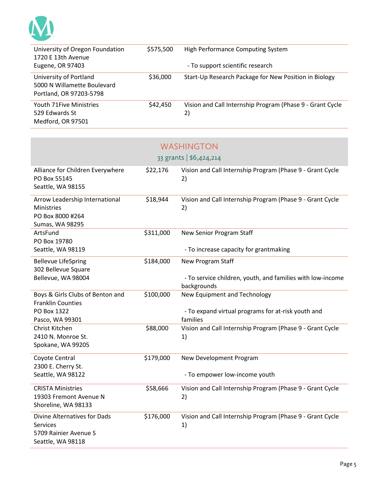

**Contract Contract Contract** 

| University of Oregon Foundation<br>1720 E 13th Avenue                            | \$575,500 | High Performance Computing System                               |
|----------------------------------------------------------------------------------|-----------|-----------------------------------------------------------------|
| Eugene, OR 97403                                                                 |           | - To support scientific research                                |
| University of Portland<br>5000 N Willamette Boulevard<br>Portland, OR 97203-5798 | \$36,000  | Start-Up Research Package for New Position in Biology           |
| <b>Youth 71Five Ministries</b><br>529 Edwards St<br>Medford, OR 97501            | \$42,450  | Vision and Call Internship Program (Phase 9 - Grant Cycle<br>2) |

|                                                                                               |           | <b>WASHINGTON</b>                                                         |
|-----------------------------------------------------------------------------------------------|-----------|---------------------------------------------------------------------------|
|                                                                                               |           | 33 grants   \$6,424,214                                                   |
| Alliance for Children Everywhere<br>PO Box 55145<br>Seattle, WA 98155                         | \$22,176  | Vision and Call Internship Program (Phase 9 - Grant Cycle<br>2)           |
| Arrow Leadership International<br>Ministries<br>PO Box 8000 #264<br>Sumas, WA 98295           | \$18,944  | Vision and Call Internship Program (Phase 9 - Grant Cycle<br>2)           |
| ArtsFund<br>PO Box 19780                                                                      | \$311,000 | New Senior Program Staff                                                  |
| Seattle, WA 98119                                                                             |           | - To increase capacity for grantmaking                                    |
| <b>Bellevue LifeSpring</b><br>302 Bellevue Square                                             | \$184,000 | New Program Staff                                                         |
| Bellevue, WA 98004                                                                            |           | - To service children, youth, and families with low-income<br>backgrounds |
| Boys & Girls Clubs of Benton and<br><b>Franklin Counties</b>                                  | \$100,000 | New Equipment and Technology                                              |
| PO Box 1322<br>Pasco, WA 99301                                                                |           | - To expand virtual programs for at-risk youth and<br>families            |
| Christ Kitchen<br>2410 N. Monroe St.<br>Spokane, WA 99205                                     | \$88,000  | Vision and Call Internship Program (Phase 9 - Grant Cycle<br>1)           |
| Coyote Central<br>2300 E. Cherry St.                                                          | \$179,000 | New Development Program                                                   |
| Seattle, WA 98122                                                                             |           | - To empower low-income youth                                             |
| <b>CRISTA Ministries</b><br>19303 Fremont Avenue N<br>Shoreline, WA 98133                     | \$58,666  | Vision and Call Internship Program (Phase 9 - Grant Cycle<br>2)           |
| Divine Alternatives for Dads<br><b>Services</b><br>5709 Rainier Avenue S<br>Seattle, WA 98118 | \$176,000 | Vision and Call Internship Program (Phase 9 - Grant Cycle<br>1)           |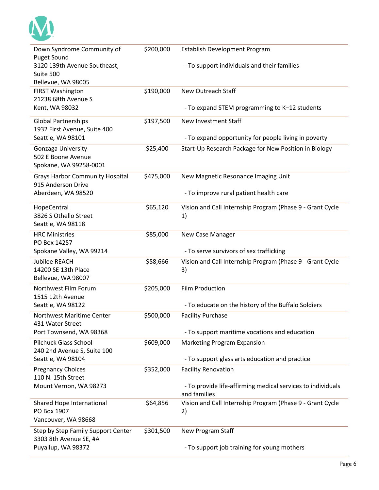

| Down Syndrome Community of<br><b>Puget Sound</b>                   | \$200,000 | Establish Development Program                                               |
|--------------------------------------------------------------------|-----------|-----------------------------------------------------------------------------|
| 3120 139th Avenue Southeast,<br>Suite 500<br>Bellevue, WA 98005    |           | - To support individuals and their families                                 |
| <b>FIRST Washington</b><br>21238 68th Avenue S                     | \$190,000 | New Outreach Staff                                                          |
| Kent, WA 98032                                                     |           | - To expand STEM programming to K-12 students                               |
| <b>Global Partnerships</b><br>1932 First Avenue, Suite 400         | \$197,500 | <b>New Investment Staff</b>                                                 |
| Seattle, WA 98101                                                  |           | - To expand opportunity for people living in poverty                        |
| Gonzaga University<br>502 E Boone Avenue<br>Spokane, WA 99258-0001 | \$25,400  | Start-Up Research Package for New Position in Biology                       |
| <b>Grays Harbor Community Hospital</b><br>915 Anderson Drive       | \$475,000 | New Magnetic Resonance Imaging Unit                                         |
| Aberdeen, WA 98520                                                 |           | - To improve rural patient health care                                      |
| HopeCentral<br>3826 S Othello Street<br>Seattle, WA 98118          | \$65,120  | Vision and Call Internship Program (Phase 9 - Grant Cycle<br>1)             |
| <b>HRC Ministries</b><br>PO Box 14257                              | \$85,000  | New Case Manager                                                            |
| Spokane Valley, WA 99214                                           |           | - To serve survivors of sex trafficking                                     |
| <b>Jubilee REACH</b><br>14200 SE 13th Place<br>Bellevue, WA 98007  | \$58,666  | Vision and Call Internship Program (Phase 9 - Grant Cycle<br>3)             |
| Northwest Film Forum<br>1515 12th Avenue                           | \$205,000 | Film Production                                                             |
| Seattle, WA 98122                                                  |           | - To educate on the history of the Buffalo Soldiers                         |
| Northwest Maritime Center<br>431 Water Street                      | \$500,000 | <b>Facility Purchase</b>                                                    |
| Port Townsend, WA 98368                                            |           | - To support maritime vocations and education                               |
| <b>Pilchuck Glass School</b><br>240 2nd Avenue S, Suite 100        | \$609,000 | Marketing Program Expansion                                                 |
| Seattle, WA 98104                                                  |           | - To support glass arts education and practice                              |
| <b>Pregnancy Choices</b><br>110 N. 15th Street                     | \$352,000 | <b>Facility Renovation</b>                                                  |
| Mount Vernon, WA 98273                                             |           | - To provide life-affirming medical services to individuals<br>and families |
| Shared Hope International<br>PO Box 1907<br>Vancouver, WA 98668    | \$64,856  | Vision and Call Internship Program (Phase 9 - Grant Cycle<br>2)             |
| Step by Step Family Support Center<br>3303 8th Avenue SE, #A       | \$301,500 | New Program Staff                                                           |
| Puyallup, WA 98372                                                 |           | - To support job training for young mothers                                 |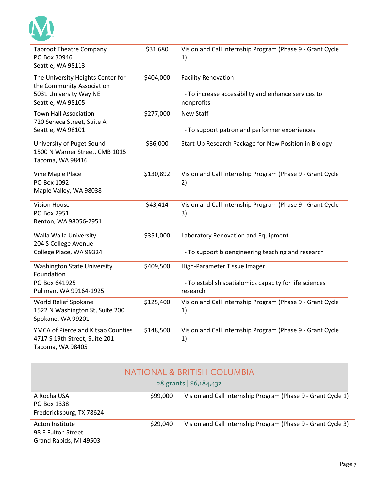| <b>Taproot Theatre Company</b><br>PO Box 30946<br>Seattle, WA 98113                     | \$31,680  | Vision and Call Internship Program (Phase 9 - Grant Cycle<br>1)    |
|-----------------------------------------------------------------------------------------|-----------|--------------------------------------------------------------------|
| The University Heights Center for<br>the Community Association                          | \$404,000 | <b>Facility Renovation</b>                                         |
| 5031 University Way NE<br>Seattle, WA 98105                                             |           | - To increase accessibility and enhance services to<br>nonprofits  |
| <b>Town Hall Association</b><br>720 Seneca Street, Suite A                              | \$277,000 | <b>New Staff</b>                                                   |
| Seattle, WA 98101                                                                       |           | - To support patron and performer experiences                      |
| University of Puget Sound<br>1500 N Warner Street, CMB 1015<br>Tacoma, WA 98416         | \$36,000  | Start-Up Research Package for New Position in Biology              |
| Vine Maple Place<br>PO Box 1092<br>Maple Valley, WA 98038                               | \$130,892 | Vision and Call Internship Program (Phase 9 - Grant Cycle<br>2)    |
| <b>Vision House</b><br>PO Box 2951<br>Renton, WA 98056-2951                             | \$43,414  | Vision and Call Internship Program (Phase 9 - Grant Cycle<br>3)    |
| Walla Walla University<br>204 S College Avenue                                          | \$351,000 | Laboratory Renovation and Equipment                                |
| College Place, WA 99324                                                                 |           | - To support bioengineering teaching and research                  |
| <b>Washington State University</b><br>Foundation                                        | \$409,500 | High-Parameter Tissue Imager                                       |
| PO Box 641925<br>Pullman, WA 99164-1925                                                 |           | - To establish spatialomics capacity for life sciences<br>research |
| World Relief Spokane<br>1522 N Washington St, Suite 200<br>Spokane, WA 99201            | \$125,400 | Vision and Call Internship Program (Phase 9 - Grant Cycle<br>1)    |
| YMCA of Pierce and Kitsap Counties<br>4717 S 19th Street, Suite 201<br>Tacoma, WA 98405 | \$148,500 | Vision and Call Internship Program (Phase 9 - Grant Cycle<br>1)    |

|                                                                 |          | NATIONAL & BRITISH COLUMBIA<br>28 grants   \$6,184,432       |
|-----------------------------------------------------------------|----------|--------------------------------------------------------------|
| A Rocha USA<br>PO Box 1338<br>Fredericksburg, TX 78624          | \$99,000 | Vision and Call Internship Program (Phase 9 - Grant Cycle 1) |
| Acton Institute<br>98 E Fulton Street<br>Grand Rapids, MI 49503 | \$29,040 | Vision and Call Internship Program (Phase 9 - Grant Cycle 3) |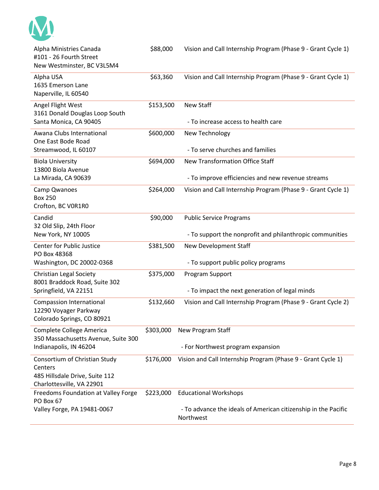

| Alpha Ministries Canada<br>#101 - 26 Fourth Street<br>New Westminster, BC V3L5M4                        | \$88,000  | Vision and Call Internship Program (Phase 9 - Grant Cycle 1)                |
|---------------------------------------------------------------------------------------------------------|-----------|-----------------------------------------------------------------------------|
| Alpha USA<br>1635 Emerson Lane<br>Naperville, IL 60540                                                  | \$63,360  | Vision and Call Internship Program (Phase 9 - Grant Cycle 1)                |
| Angel Flight West<br>3161 Donald Douglas Loop South<br>Santa Monica, CA 90405                           | \$153,500 | New Staff<br>- To increase access to health care                            |
| Awana Clubs International                                                                               | \$600,000 | New Technology                                                              |
| One East Bode Road<br>Streamwood, IL 60107                                                              |           | - To serve churches and families                                            |
| <b>Biola University</b><br>13800 Biola Avenue                                                           | \$694,000 | New Transformation Office Staff                                             |
| La Mirada, CA 90639                                                                                     |           | - To improve efficiencies and new revenue streams                           |
| Camp Qwanoes<br><b>Box 250</b><br>Crofton, BC VOR1R0                                                    | \$264,000 | Vision and Call Internship Program (Phase 9 - Grant Cycle 1)                |
| Candid                                                                                                  | \$90,000  | <b>Public Service Programs</b>                                              |
| 32 Old Slip, 24th Floor<br>New York, NY 10005                                                           |           | - To support the nonprofit and philanthropic communities                    |
| Center for Public Justice<br>PO Box 48368                                                               | \$381,500 | New Development Staff                                                       |
| Washington, DC 20002-0368                                                                               |           | - To support public policy programs                                         |
| Christian Legal Society<br>8001 Braddock Road, Suite 302                                                | \$375,000 | Program Support                                                             |
| Springfield, VA 22151                                                                                   |           | - To impact the next generation of legal minds                              |
| <b>Compassion International</b><br>12290 Voyager Parkway<br>Colorado Springs, CO 80921                  | \$132,660 | Vision and Call Internship Program (Phase 9 - Grant Cycle 2)                |
| Complete College America<br>350 Massachusetts Avenue, Suite 300                                         | \$303,000 | New Program Staff                                                           |
| Indianapolis, IN 46204                                                                                  |           | - For Northwest program expansion                                           |
| Consortium of Christian Study<br>Centers<br>485 Hillsdale Drive, Suite 112<br>Charlottesville, VA 22901 | \$176,000 | Vision and Call Internship Program (Phase 9 - Grant Cycle 1)                |
| Freedoms Foundation at Valley Forge<br>PO Box 67                                                        | \$223,000 | <b>Educational Workshops</b>                                                |
| Valley Forge, PA 19481-0067                                                                             |           | - To advance the ideals of American citizenship in the Pacific<br>Northwest |